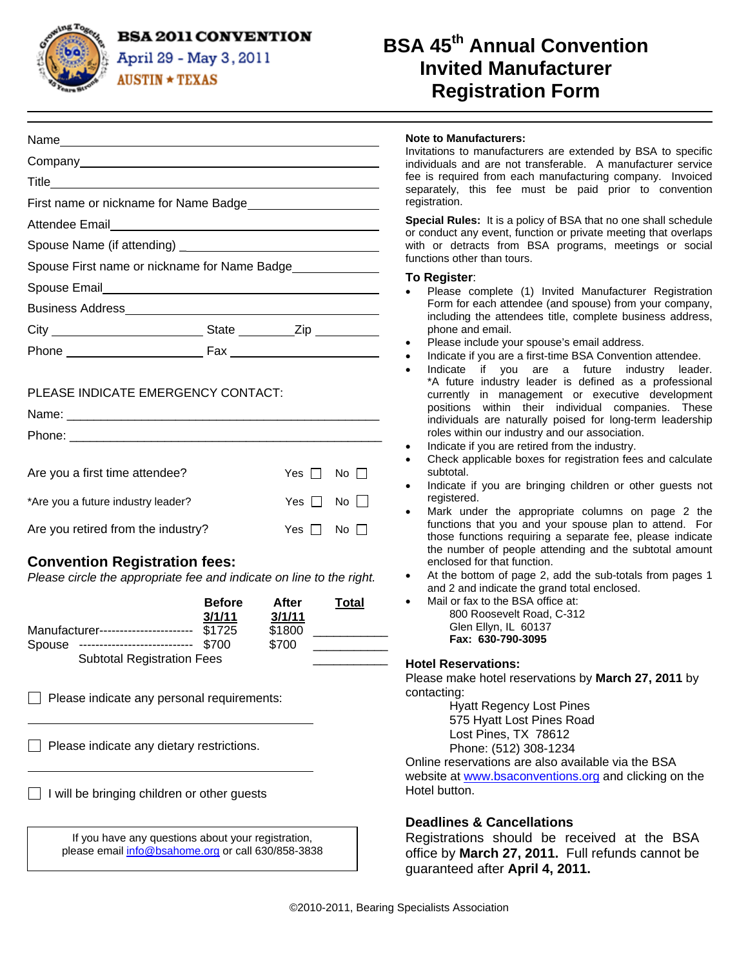**BSA 2011 CONVENTION** 



**Title** 

Attendee Email

Spouse Email

Business Address

April 29 - May 3, 2011  $AUSTIN \star TEXAS$ 

Name Company

First name or nickname for Name Badge

Spouse Name (if attending) \_ Spouse First name or nickname for Name Badge

City **State** Zip Phone Fax

# **BSA 45th Annual Convention Invited Manufacturer Registration Form**

|  |  | <b>Note to Manufacturers:</b> |
|--|--|-------------------------------|
|--|--|-------------------------------|

Invitations to manufacturers are extended by BSA to specific individuals and are not transferable. A manufacturer service fee is required from each manufacturing company. Invoiced separately, this fee must be paid prior to convention registration.

**Special Rules:** It is a policy of BSA that no one shall schedule or conduct any event, function or private meeting that overlaps with or detracts from BSA programs, meetings or social functions other than tours.

#### **To Register**:

- Please complete (1) Invited Manufacturer Registration Form for each attendee (and spouse) from your company, including the attendees title, complete business address, phone and email.
- Please include your spouse's email address.
- Indicate if you are a first-time BSA Convention attendee.
- Indicate if you are a future industry leader. \*A future industry leader is defined as a professional currently in management or executive development positions within their individual companies. These individuals are naturally poised for long-term leadership roles within our industry and our association.
- Indicate if you are retired from the industry.
- Check applicable boxes for registration fees and calculate subtotal.
- Indicate if you are bringing children or other guests not registered.
- Mark under the appropriate columns on page 2 the functions that you and your spouse plan to attend. For those functions requiring a separate fee, please indicate the number of people attending and the subtotal amount enclosed for that function.
- At the bottom of page 2, add the sub-totals from pages 1 and 2 and indicate the grand total enclosed.
	- Mail or fax to the BSA office at: 800 Roosevelt Road, C-312 Glen Ellyn, IL 60137 **Fax: 630-790-3095**

### **Hotel Reservations:**

Please make hotel reservations by **March 27, 2011** by contacting:

> Hyatt Regency Lost Pines 575 Hyatt Lost Pines Road Lost Pines, TX 78612 Phone: (512) 308-1234

Online reservations are also available via the BSA website at www.bsaconventions.org and clicking on the Hotel button.

### **Deadlines & Cancellations**

Registrations should be received at the BSA office by **March 27, 2011.** Full refunds cannot be guaranteed after **April 4, 2011.**

|  | PLEASE INDICATE EMERGENCY CONTACT: |  |
|--|------------------------------------|--|

| Name: $\_\_$                                                                                                                                                                                                                   |                      |               |
|--------------------------------------------------------------------------------------------------------------------------------------------------------------------------------------------------------------------------------|----------------------|---------------|
| Phone: the contract of the contract of the contract of the contract of the contract of the contract of the contract of the contract of the contract of the contract of the contract of the contract of the contract of the con |                      |               |
|                                                                                                                                                                                                                                |                      |               |
| Are you a first time attendee?                                                                                                                                                                                                 | Yes $\Box$ No $\Box$ |               |
| *Are you a future industry leader?                                                                                                                                                                                             | $Yes \Box No \Box$   |               |
| Are you retired from the industry?                                                                                                                                                                                             | Yes $\Box$           | $N_O$ $\perp$ |

## **Convention Registration fees:**

*Please circle the appropriate fee and indicate on line to the right.* 

|        |                                     | <b>Before</b><br>3/1/11 | After<br>3/1/11 | Total |
|--------|-------------------------------------|-------------------------|-----------------|-------|
|        | Manufacturer----------------------- | \$1725                  | \$1800          |       |
| Spouse | -----------------------------       | \$700                   | \$700           |       |
|        | <b>Subtotal Registration Fees</b>   |                         |                 |       |

 $\Box$  Please indicate any personal requirements:

 $\Box$  Please indicate any dietary restrictions.

 $\Box$  I will be bringing children or other guests

| If you have any questions about your registration, |  |
|----------------------------------------------------|--|
| please email info@bsahome.org or call 630/858-3838 |  |